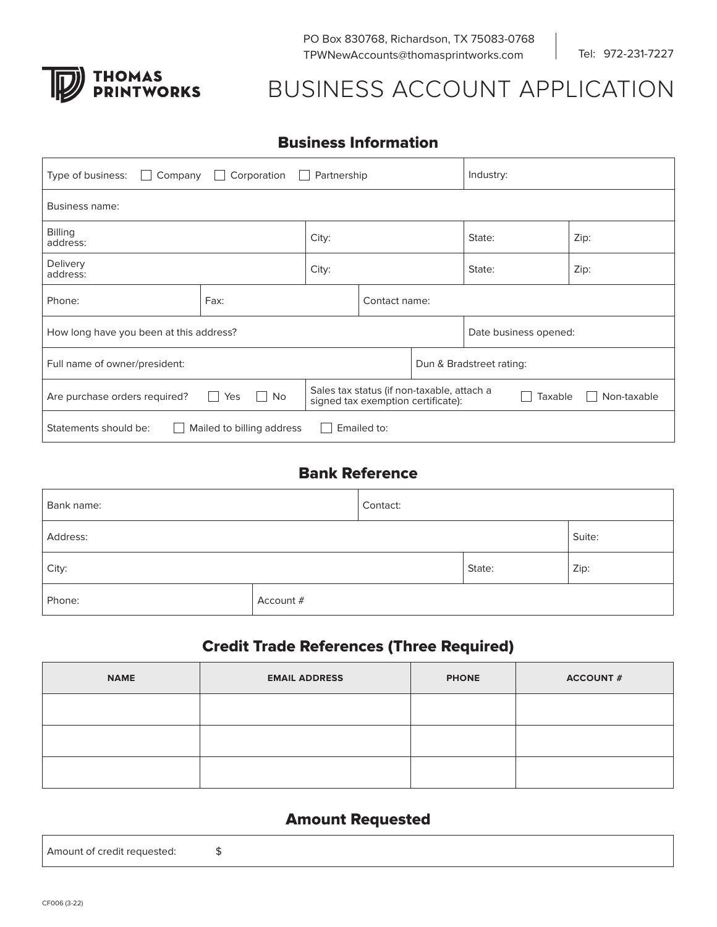

PO Box 830768, Richardson, TX 75083-0768 TPWNewAccounts@thomasprintworks.com

Tel: 972-231-7227

# BUSINESS ACCOUNT APPLICATION

#### Business Information

| Corporation<br>Company<br>Partnership<br>Type of business:<br>$\mathbf{1}$<br>$\mathbf{L}$ |                       |                                                                                                            |  | Industry: |                          |  |  |
|--------------------------------------------------------------------------------------------|-----------------------|------------------------------------------------------------------------------------------------------------|--|-----------|--------------------------|--|--|
| Business name:                                                                             |                       |                                                                                                            |  |           |                          |  |  |
| <b>Billing</b><br>address:                                                                 |                       | City:                                                                                                      |  | State:    | Zip:                     |  |  |
| Delivery<br>address:                                                                       |                       | City:                                                                                                      |  | State:    | Zip:                     |  |  |
| Phone:                                                                                     | Fax:<br>Contact name: |                                                                                                            |  |           |                          |  |  |
| How long have you been at this address?                                                    |                       |                                                                                                            |  |           | Date business opened:    |  |  |
| Full name of owner/president:                                                              |                       |                                                                                                            |  |           | Dun & Bradstreet rating: |  |  |
| Are purchase orders required?                                                              | Yes<br><b>No</b>      | Sales tax status (if non-taxable, attach a<br>Taxable<br>Non-taxable<br>signed tax exemption certificate): |  |           |                          |  |  |
| Emailed to:<br>Statements should be:<br>Mailed to billing address                          |                       |                                                                                                            |  |           |                          |  |  |

## Bank Reference

| Bank name: |           | Contact: |      |        |
|------------|-----------|----------|------|--------|
| Address:   |           |          |      | Suite: |
| City:      |           | State:   | Zip: |        |
| Phone:     | Account # |          |      |        |

## Credit Trade References (Three Required)

| <b>NAME</b> | <b>EMAIL ADDRESS</b> | <b>PHONE</b> | <b>ACCOUNT #</b> |
|-------------|----------------------|--------------|------------------|
|             |                      |              |                  |
|             |                      |              |                  |
|             |                      |              |                  |

#### Amount Requested

Amount of credit requested: \$